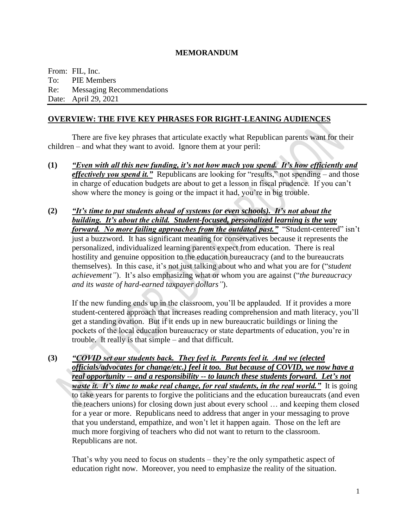#### **MEMORANDUM**

From: FIL, Inc. To: PIE Members Re: Messaging Recommendations Date: April 29, 2021

#### **OVERVIEW: THE FIVE KEY PHRASES FOR RIGHT-LEANING AUDIENCES**

There are five key phrases that articulate exactly what Republican parents want for their children – and what they want to avoid. Ignore them at your peril:

- **(1)** *"Even with all this new funding, it's not how much you spend. It's how efficiently and effectively you spend it."* Republicans are looking for "results," not spending – and those in charge of education budgets are about to get a lesson in fiscal prudence. If you can't show where the money is going or the impact it had, you're in big trouble.
- **(2)** *"It's time to put students ahead of systems (or even schools). It's not about the building. It's about the child. Student-focused, personalized learning is the way forward. No more failing approaches from the outdated past."* "Student-centered" isn't just a buzzword. It has significant meaning for conservatives because it represents the personalized, individualized learning parents expect from education. There is real hostility and genuine opposition to the education bureaucracy (and to the bureaucrats themselves). In this case, it's not just talking about who and what you are for ("*student achievement"*). It's also emphasizing what or whom you are against ("*the bureaucracy and its waste of hard-earned taxpayer dollars"*).

If the new funding ends up in the classroom, you'll be applauded. If it provides a more student-centered approach that increases reading comprehension and math literacy, you'll get a standing ovation. But if it ends up in new bureaucratic buildings or lining the pockets of the local education bureaucracy or state departments of education, you're in trouble. It really is that simple – and that difficult.

**(3)** *"COVID set our students back. They feel it. Parents feel it. And we (elected officials/advocates for change/etc.) feel it too. But because of COVID, we now have a real opportunity -- and a responsibility -- to launch these students forward. Let's not waste it. It's time to make real change, for real students, in the real world.*" It is going to take years for parents to forgive the politicians and the education bureaucrats (and even the teachers unions) for closing down just about every school … and keeping them closed for a year or more. Republicans need to address that anger in your messaging to prove that you understand, empathize, and won't let it happen again. Those on the left are much more forgiving of teachers who did not want to return to the classroom. Republicans are not.

That's why you need to focus on students – they're the only sympathetic aspect of education right now. Moreover, you need to emphasize the reality of the situation.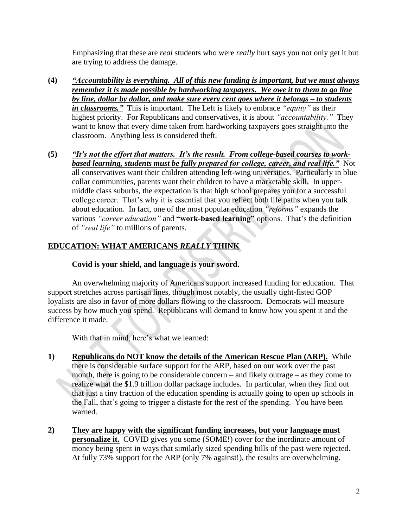Emphasizing that these are *real* students who were *really* hurt says you not only get it but are trying to address the damage.

- **(4)** *"Accountability is everything. All of this new funding is important, but we must always remember it is made possible by hardworking taxpayers. We owe it to them to go line by line, dollar by dollar, and make sure every cent goes where it belongs – to students in classrooms."* This is important. The Left is likely to embrace *"equity"* as their highest priority. For Republicans and conservatives, it is about *"accountability."* They want to know that every dime taken from hardworking taxpayers goes straight into the classroom. Anything less is considered theft.
- **(5)** *"It's not the effort that matters. It's the result. From college-based courses to workbased learning, students must be fully prepared for college, career, and real life.*" Not all conservatives want their children attending left-wing universities. Particularly in blue collar communities, parents want their children to have a marketable skill. In uppermiddle class suburbs, the expectation is that high school prepares you for a successful college career. That's why it is essential that you reflect both life paths when you talk about education. In fact, one of the most popular education *"reforms"* expands the various *"career education"* and **"work-based learning"** options. That's the definition of *"real life"* to millions of parents.

## **EDUCATION: WHAT AMERICANS** *REALLY* **THINK**

#### **Covid is your shield, and language is your sword.**

An overwhelming majority of Americans support increased funding for education. That support stretches across partisan lines, though most notably, the usually tight-fisted GOP loyalists are also in favor of more dollars flowing to the classroom. Democrats will measure success by how much you spend. Republicans will demand to know how you spent it and the difference it made.

With that in mind, here's what we learned:

- **1) Republicans do NOT know the details of the American Rescue Plan (ARP).** While there is considerable surface support for the ARP, based on our work over the past month, there is going to be considerable concern – and likely outrage – as they come to realize what the \$1.9 trillion dollar package includes. In particular, when they find out that just a tiny fraction of the education spending is actually going to open up schools in the Fall, that's going to trigger a distaste for the rest of the spending. You have been warned.
- **2) They are happy with the significant funding increases, but your language must personalize it.** COVID gives you some (SOME!) cover for the inordinate amount of money being spent in ways that similarly sized spending bills of the past were rejected. At fully 73% support for the ARP (only 7% against!), the results are overwhelming.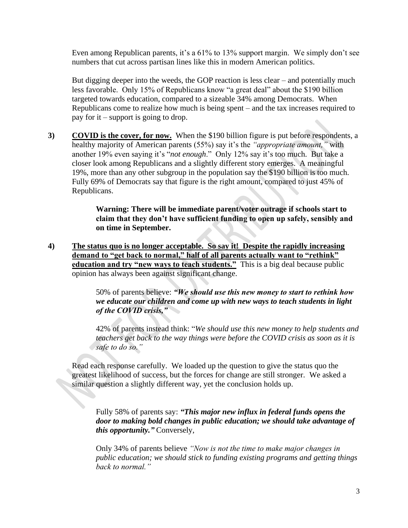Even among Republican parents, it's a 61% to 13% support margin. We simply don't see numbers that cut across partisan lines like this in modern American politics.

But digging deeper into the weeds, the GOP reaction is less clear – and potentially much less favorable. Only 15% of Republicans know "a great deal" about the \$190 billion targeted towards education, compared to a sizeable 34% among Democrats. When Republicans come to realize how much is being spent – and the tax increases required to pay for it – support is going to drop.

**3) COVID is the cover, for now.** When the \$190 billion figure is put before respondents, a healthy majority of American parents (55%) say it's the *"appropriate amount,"* with another 19% even saying it's "*not enough*." Only 12% say it's too much. But take a closer look among Republicans and a slightly different story emerges. A meaningful 19%, more than any other subgroup in the population say the \$190 billion is too much. Fully 69% of Democrats say that figure is the right amount, compared to just 45% of Republicans.

> **Warning: There will be immediate parent/voter outrage if schools start to claim that they don't have sufficient funding to open up safely, sensibly and on time in September.**

**4) The status quo is no longer acceptable. So say it! Despite the rapidly increasing demand to "get back to normal," half of all parents actually want to "rethink" education and try "new ways to teach students."** This is a big deal because public opinion has always been against significant change.

> 50% of parents believe: *"We should use this new money to start to rethink how we educate our children and come up with new ways to teach students in light of the COVID crisis,"*

42% of parents instead think: "*We should use this new money to help students and teachers get back to the way things were before the COVID crisis as soon as it is safe to do so."*

Read each response carefully. We loaded up the question to give the status quo the greatest likelihood of success, but the forces for change are still stronger. We asked a similar question a slightly different way, yet the conclusion holds up.

Fully 58% of parents say: *"This major new influx in federal funds opens the door to making bold changes in public education; we should take advantage of this opportunity."* Conversely,

Only 34% of parents believe *"Now is not the time to make major changes in public education; we should stick to funding existing programs and getting things back to normal."*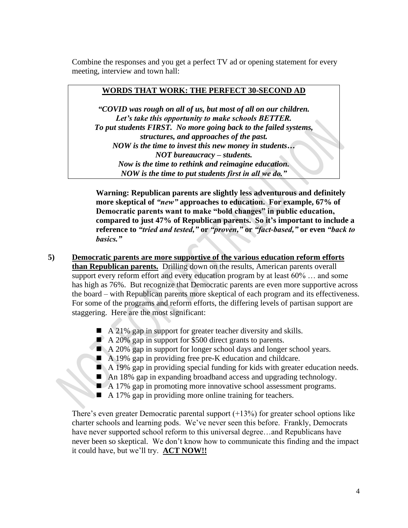Combine the responses and you get a perfect TV ad or opening statement for every meeting, interview and town hall:

#### **WORDS THAT WORK: THE PERFECT 30-SECOND AD**

*"COVID was rough on all of us, but most of all on our children. Let's take this opportunity to make schools BETTER. To put students FIRST. No more going back to the failed systems, structures, and approaches of the past. NOW is the time to invest this new money in students… NOT bureaucracy – students. Now is the time to rethink and reimagine education. NOW is the time to put students first in all we do."*

**Warning: Republican parents are slightly less adventurous and definitely more skeptical of** *"new"* **approaches to education. For example, 67% of Democratic parents want to make "bold changes" in public education, compared to just 47% of Republican parents. So it's important to include a reference to** *"tried and tested,"* **or** *"proven,"* **or** *"fact-based,"* **or even** *"back to basics."*

- **5) Democratic parents are more supportive of the various education reform efforts than Republican parents.** Drilling down on the results, American parents overall support every reform effort and every education program by at least 60% … and some has high as 76%. But recognize that Democratic parents are even more supportive across the board – with Republican parents more skeptical of each program and its effectiveness. For some of the programs and reform efforts, the differing levels of partisan support are staggering. Here are the most significant:
	- $\blacksquare$  A 21% gap in support for greater teacher diversity and skills.
	- A 20% gap in support for \$500 direct grants to parents.
	- A 20% gap in support for longer school days and longer school years.
	- A 19% gap in providing free pre-K education and childcare.
	- A 19% gap in providing special funding for kids with greater education needs.
	- An 18% gap in expanding broadband access and upgrading technology.
	- A 17% gap in promoting more innovative school assessment programs.
	- A 17% gap in providing more online training for teachers.

There's even greater Democratic parental support  $(+13%)$  for greater school options like charter schools and learning pods. We've never seen this before. Frankly, Democrats have never supported school reform to this universal degree...and Republicans have never been so skeptical. We don't know how to communicate this finding and the impact it could have, but we'll try. **ACT NOW!!**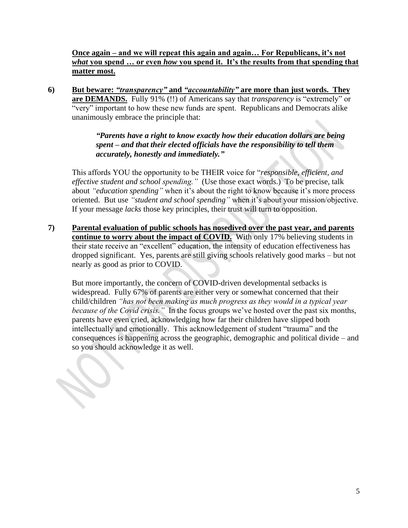## **Once again – and we will repeat this again and again… For Republicans, it's not**  *what* **you spend … or even** *how* **you spend it. It's the results from that spending that matter most.**

**6) But beware:** *"transparency"* **and** *"accountability"* **are more than just words. They are DEMANDS.** Fully 91% (!!) of Americans say that *transparency* is "extremely" or "very" important to how these new funds are spent. Republicans and Democrats alike unanimously embrace the principle that:

### *"Parents have a right to know exactly how their education dollars are being spent – and that their elected officials have the responsibility to tell them accurately, honestly and immediately."*

This affords YOU the opportunity to be THEIR voice for "*responsible, efficient, and effective student and school spending."* (Use those exact words.) To be precise, talk about *"education spending"* when it's about the right to know because it's more process oriented. But use *"student and school spending"* when it's about your mission/objective. If your message *lacks* those key principles, their trust will turn to opposition.

**7) Parental evaluation of public schools has nosedived over the past year, and parents continue to worry about the impact of COVID.** With only 17% believing students in their state receive an "excellent" education, the intensity of education effectiveness has dropped significant. Yes, parents are still giving schools relatively good marks – but not nearly as good as prior to COVID.

But more importantly, the concern of COVID-driven developmental setbacks is widespread. Fully 67% of parents are either very or somewhat concerned that their child/children *"has not been making as much progress as they would in a typical year because of the Covid crisis."* In the focus groups we've hosted over the past six months, parents have even cried, acknowledging how far their children have slipped both intellectually and emotionally. This acknowledgement of student "trauma" and the consequences is happening across the geographic, demographic and political divide – and so you should acknowledge it as well.